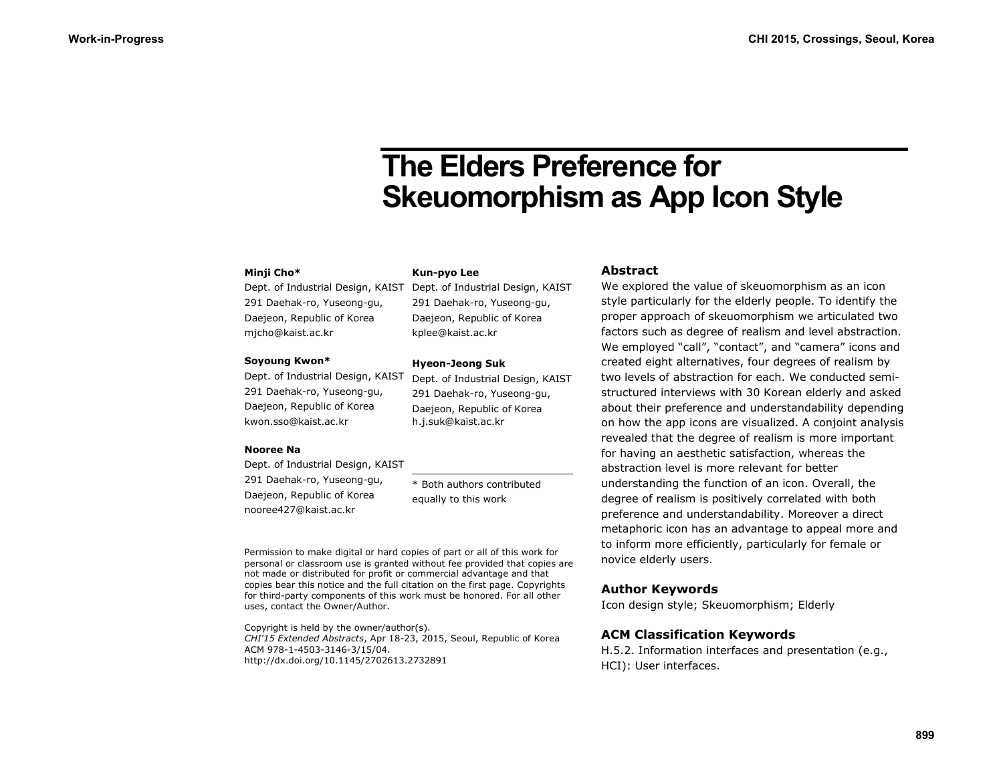# **The Elders Preference for Skeuomorphism as App Icon Style**

#### **Minji Cho\***

Dept. of Industrial Design, KAIST 291 Daehak-ro, Yuseong-gu, Daejeon, Republic of Korea mjcho@kaist.ac.kr

#### **Soyoung Kwon\***

Dept. of Industrial Design, KAIST 291 Daehak-ro, Yuseong-gu, Daejeon, Republic of Korea kwon.sso@kaist.ac.kr

#### **Nooree Na**

Dept. of Industrial Design, KAIST 291 Daehak-ro, Yuseong-gu, Daejeon, Republic of Korea nooree427@kaist.ac.kr

\* Both authors contributed equally to this work

Permission to make digital or hard copies of part or all of this work for personal or classroom use is granted without fee provided that copies are not made or distributed for profit or commercial advantage and that copies bear this notice and the full citation on the first page. Copyrights for third-party components of this work must be honored. For all other uses, contact the Owner/Author.

Copyright is held by the owner/author(s). *CHI'15 Extended Abstracts*, Apr 18-23, 2015, Seoul, Republic of Korea ACM 978-1-4503-3146-3/15/04. http://dx.doi.org/10.1145/2702613.2732891

Dept. of Industrial Design, KAIST 291 Daehak-ro, Yuseong-gu, Daejeon, Republic of Korea kplee@kaist.ac.kr

# **Hyeon-Jeong Suk**

**Kun-pyo Lee**

Dept. of Industrial Design, KAIST 291 Daehak-ro, Yuseong-gu, Daejeon, Republic of Korea h.j.suk@kaist.ac.kr

#### **Abstract**

We explored the value of skeuomorphism as an icon style particularly for the elderly people. To identify the proper approach of skeuomorphism we articulated two factors such as degree of realism and level abstraction. We employed "call", "contact", and "camera" icons and created eight alternatives, four degrees of realism by two levels of abstraction for each. We conducted semistructured interviews with 30 Korean elderly and asked about their preference and understandability depending on how the app icons are visualized. A conjoint analysis revealed that the degree of realism is more important for having an aesthetic satisfaction, whereas the abstraction level is more relevant for better understanding the function of an icon. Overall, the degree of realism is positively correlated with both preference and understandability. Moreover a direct metaphoric icon has an advantage to appeal more and to inform more efficiently, particularly for female or novice elderly users.

#### **Author Keywords**

Icon design style; Skeuomorphism; Elderly

#### **ACM Classification Keywords**

H.5.2. Information interfaces and presentation (e.g., HCI): User interfaces.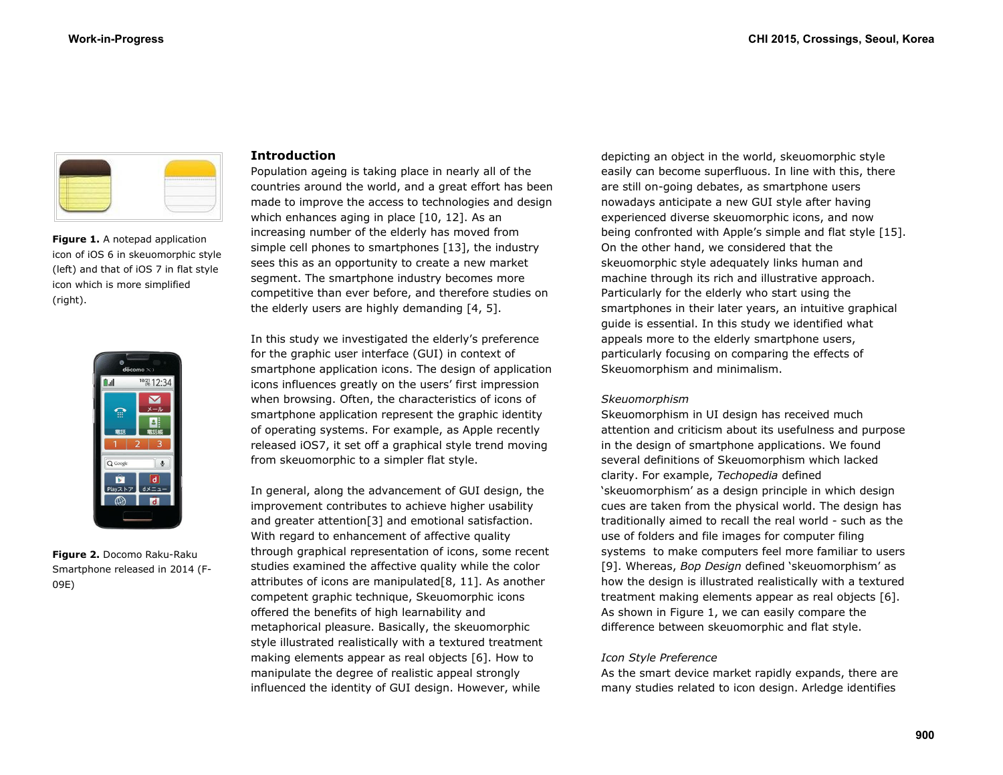

**Figure 1.** A notepad application icon of iOS 6 in skeuomorphic style (left) and that of iOS 7 in flat style icon which is more simplified (right).



**Figure 2.** Docomo Raku-Raku Smartphone released in 2014 (F-09E)

## **Introduction**

Population ageing is taking place in nearly all of the countries around the world, and a great effort has been made to improve the access to technologies and design which enhances aging in place [10, 12]. As an increasing number of the elderly has moved from simple cell phones to smartphones [13], the industry sees this as an opportunity to create a new market segment. The smartphone industry becomes more competitive than ever before, and therefore studies on the elderly users are highly demanding [4, 5].

In this study we investigated the elderly's preference for the graphic user interface (GUI) in context of smartphone application icons. The design of application icons influences greatly on the users' first impression when browsing. Often, the characteristics of icons of smartphone application represent the graphic identity of operating systems. For example, as Apple recently released iOS7, it set off a graphical style trend moving from skeuomorphic to a simpler flat style.

In general, along the advancement of GUI design, the improvement contributes to achieve higher usability and greater attention[3] and emotional satisfaction. With regard to enhancement of affective quality through graphical representation of icons, some recent studies examined the affective quality while the color attributes of icons are manipulated[8, 11]. As another competent graphic technique, Skeuomorphic icons offered the benefits of high learnability and metaphorical pleasure. Basically, the skeuomorphic style illustrated realistically with a textured treatment making elements appear as real objects [6]. How to manipulate the degree of realistic appeal strongly influenced the identity of GUI design. However, while

depicting an object in the world, skeuomorphic style easily can become superfluous. In line with this, there are still on-going debates, as smartphone users nowadays anticipate a new GUI style after having experienced diverse skeuomorphic icons, and now being confronted with Apple's simple and flat style [15]. On the other hand, we considered that the skeuomorphic style adequately links human and machine through its rich and illustrative approach. Particularly for the elderly who start using the smartphones in their later years, an intuitive graphical guide is essential. In this study we identified what appeals more to the elderly smartphone users, particularly focusing on comparing the effects of Skeuomorphism and minimalism.

#### *Skeuomorphism*

Skeuomorphism in UI design has received much attention and criticism about its usefulness and purpose in the design of smartphone applications. We found several definitions of Skeuomorphism which lacked clarity. For example, *Techopedia* defined 'skeuomorphism' as a design principle in which design cues are taken from the physical world. The design has traditionally aimed to recall the real world - such as the use of folders and file images for computer filing systems to make computers feel more familiar to users [9]. Whereas, *Bop Design* defined 'skeuomorphism' as how the design is illustrated realistically with a textured treatment making elements appear as real objects [6]. As shown in Figure 1, we can easily compare the difference between skeuomorphic and flat style.

#### *Icon Style Preference*

As the smart device market rapidly expands, there are many studies related to icon design. Arledge identifies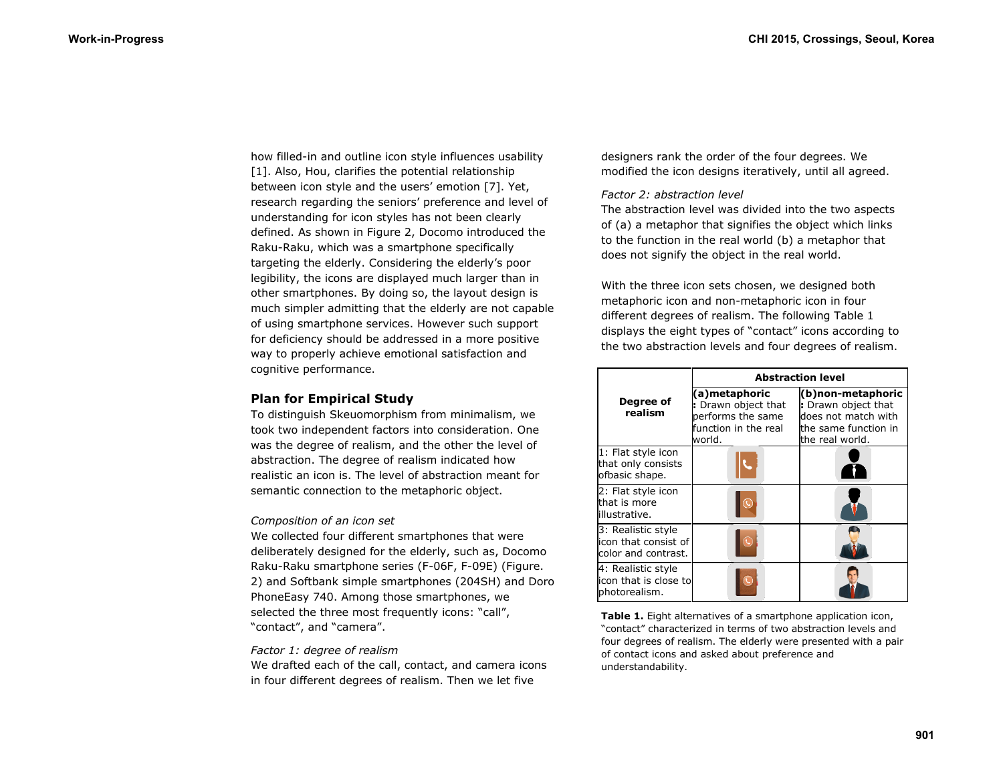how filled-in and outline icon style influences usability [1]. Also, Hou, clarifies the potential relationship between icon style and the users' emotion [7]. Yet, research regarding the seniors' preference and level of understanding for icon styles has not been clearly defined. As shown in Figure 2, Docomo introduced the Raku-Raku, which was a smartphone specifically targeting the elderly. Considering the elderly's poor legibility, the icons are displayed much larger than in other smartphones. By doing so, the layout design is much simpler admitting that the elderly are not capable of using smartphone services. However such support for deficiency should be addressed in a more positive way to properly achieve emotional satisfaction and cognitive performance.

# **Plan for Empirical Study**

To distinguish Skeuomorphism from minimalism, we took two independent factors into consideration. One was the degree of realism, and the other the level of abstraction. The degree of realism indicated how realistic an icon is. The level of abstraction meant for semantic connection to the metaphoric object.

#### *Composition of an icon set*

We collected four different smartphones that were deliberately designed for the elderly, such as, Docomo Raku-Raku smartphone series (F-06F, F-09E) (Figure. 2) and Softbank simple smartphones (204SH) and Doro PhoneEasy 740. Among those smartphones, we selected the three most frequently icons: "call", "contact", and "camera".

#### *Factor 1: degree of realism*

We drafted each of the call, contact, and camera icons in four different degrees of realism. Then we let five

designers rank the order of the four degrees. We modified the icon designs iteratively, until all agreed.

## *Factor 2: abstraction level*

The abstraction level was divided into the two aspects of (a) a metaphor that signifies the object which links to the function in the real world (b) a metaphor that does not signify the object in the real world.

With the three icon sets chosen, we designed both metaphoric icon and non-metaphoric icon in four different degrees of realism. The following Table 1 displays the eight types of "contact" icons according to the two abstraction levels and four degrees of realism.

|                                                                   | <b>Abstraction level</b>                                                                    |                                                                                                            |
|-------------------------------------------------------------------|---------------------------------------------------------------------------------------------|------------------------------------------------------------------------------------------------------------|
| Degree of<br>realism                                              | (a)metaphoric<br>: Drawn object that<br>performs the same<br>function in the real<br>world. | (b)non-metaphoric<br>: Drawn object that<br>does not match with<br>the same function in<br>the real world. |
| 1: Flat style icon<br>that only consists<br>ofbasic shape.        |                                                                                             |                                                                                                            |
| 2: Flat style icon<br>that is more<br>lillustrative.              |                                                                                             |                                                                                                            |
| 3: Realistic style<br>icon that consist of<br>color and contrast. |                                                                                             |                                                                                                            |
| 4: Realistic style<br>icon that is close to<br>photorealism.      |                                                                                             |                                                                                                            |

**Table 1.** Eight alternatives of a smartphone application icon, "contact" characterized in terms of two abstraction levels and four degrees of realism. The elderly were presented with a pair of contact icons and asked about preference and understandability.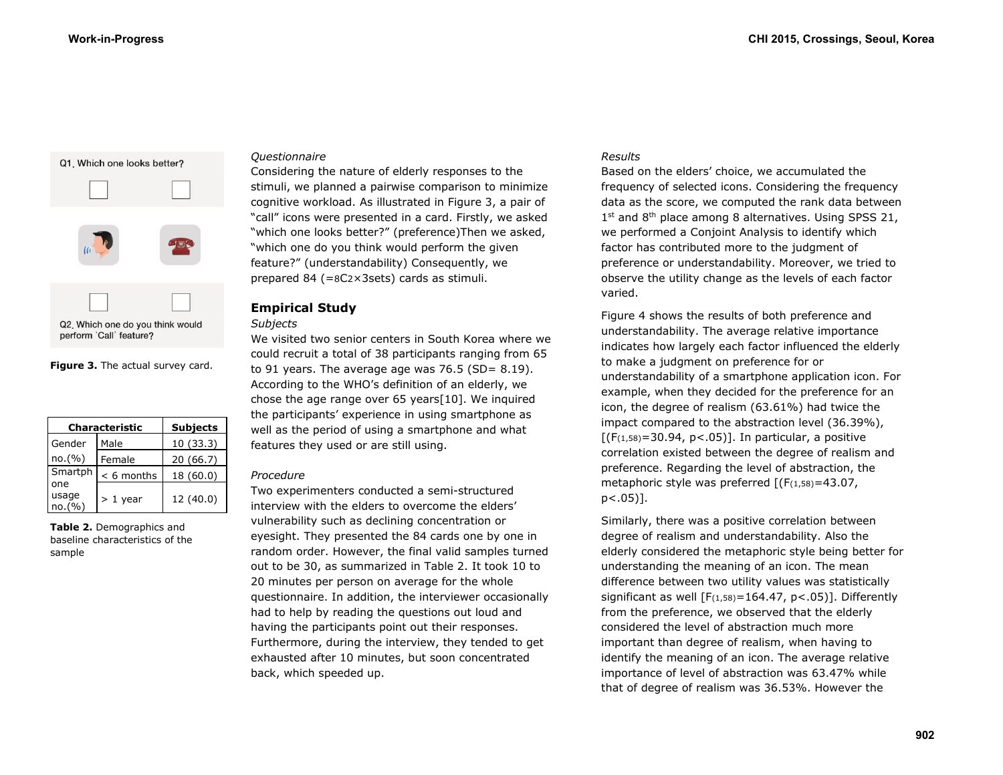

**Figure 3.** The actual survey card.

| <b>Characteristic</b> |              | <b>Subjects</b> |
|-----------------------|--------------|-----------------|
| Gender                | Male         | 10(33.3)        |
| no.(%)                | Female       | 20 (66.7)       |
| Smartph               | $< 6$ months | 18 (60.0)       |
| one                   |              |                 |
| usage<br>no.(%)       | $> 1$ year   | 12 (40.0)       |

**Table 2.** Demographics and baseline characteristics of the sample

## *Questionnaire*

Considering the nature of elderly responses to the stimuli, we planned a pairwise comparison to minimize cognitive workload. As illustrated in Figure 3, a pair of "call" icons were presented in a card. Firstly, we asked "which one looks better?" (preference)Then we asked, "which one do you think would perform the given feature?" (understandability) Consequently, we prepared 84 (=8C2× 3sets) cards as stimuli.

# **Empirical Study**

# *Subjects*

We visited two senior centers in South Korea where we could recruit a total of 38 participants ranging from 65 to 91 years. The average age was  $76.5$  (SD=  $8.19$ ). According to the WHO's definition of an elderly, we chose the age range over 65 years[10]. We inquired the participants' experience in using smartphone as well as the period of using a smartphone and what features they used or are still using.

#### *Procedure*

Two experimenters conducted a semi-structured interview with the elders to overcome the elders' vulnerability such as declining concentration or eyesight. They presented the 84 cards one by one in random order. However, the final valid samples turned out to be 30, as summarized in Table 2. It took 10 to 20 minutes per person on average for the whole questionnaire. In addition, the interviewer occasionally had to help by reading the questions out loud and having the participants point out their responses. Furthermore, during the interview, they tended to get exhausted after 10 minutes, but soon concentrated back, which speeded up.

# *Results*

Based on the elders' choice, we accumulated the frequency of selected icons. Considering the frequency data as the score, we computed the rank data between 1<sup>st</sup> and 8<sup>th</sup> place among 8 alternatives. Using SPSS 21, we performed a Conjoint Analysis to identify which factor has contributed more to the judgment of preference or understandability. Moreover, we tried to observe the utility change as the levels of each factor varied.

Figure 4 shows the results of both preference and understandability. The average relative importance indicates how largely each factor influenced the elderly to make a judgment on preference for or understandability of a smartphone application icon. For example, when they decided for the preference for an icon, the degree of realism (63.61%) had twice the impact compared to the abstraction level (36.39%),  $[(F(1,58)=30.94, p<0.05)]$ . In particular, a positive correlation existed between the degree of realism and preference. Regarding the level of abstraction, the metaphoric style was preferred  $[(F(1,58)=43.07,$ p<.05)].

Similarly, there was a positive correlation between degree of realism and understandability. Also the elderly considered the metaphoric style being better for understanding the meaning of an icon. The mean difference between two utility values was statistically significant as well  $[F(1,58) = 164.47, p < .05]$ ]. Differently from the preference, we observed that the elderly considered the level of abstraction much more important than degree of realism, when having to identify the meaning of an icon. The average relative importance of level of abstraction was 63.47% while that of degree of realism was 36.53%. However the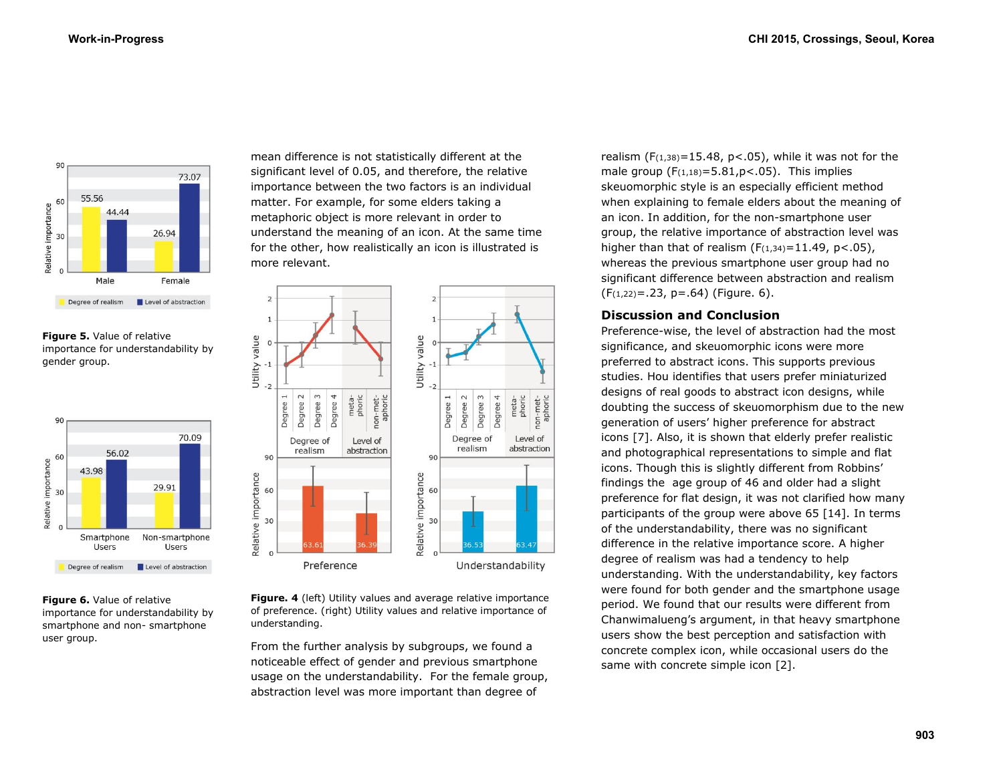

**Figure 5.** Value of relative importance for understandability by gender group.



**Figure 6.** Value of relative importance for understandability by smartphone and non- smartphone user group.

mean difference is not statistically different at the significant level of 0.05, and therefore, the relative importance between the two factors is an individual matter. For example, for some elders taking a metaphoric object is more relevant in order to understand the meaning of an icon. At the same time for the other, how realistically an icon is illustrated is more relevant.



**Figure. 4** (left) Utility values and average relative importance of preference. (right) Utility values and relative importance of understanding.

From the further analysis by subgroups, we found a noticeable effect of gender and previous smartphone usage on the understandability. For the female group, abstraction level was more important than degree of

realism  $(F(1,38)=15.48, p<.05)$ , while it was not for the male group  $(F(1,18)=5.81,p<.05)$ . This implies skeuomorphic style is an especially efficient method when explaining to female elders about the meaning of an icon. In addition, for the non-smartphone user group, the relative importance of abstraction level was higher than that of realism  $(F(1,34)=11.49, p<0.05)$ , whereas the previous smartphone user group had no significant difference between abstraction and realism  $(F(1,22)=.23, p=.64)$  (Figure. 6).

# **Discussion and Conclusion**

Preference-wise, the level of abstraction had the most significance, and skeuomorphic icons were more preferred to abstract icons. This supports previous studies. Hou identifies that users prefer miniaturized designs of real goods to abstract icon designs, while doubting the success of skeuomorphism due to the new generation of users' higher preference for abstract icons [7]. Also, it is shown that elderly prefer realistic and photographical representations to simple and flat icons. Though this is slightly different from Robbins' findings the age group of 46 and older had a slight preference for flat design, it was not clarified how many participants of the group were above 65 [14]. In terms of the understandability, there was no significant difference in the relative importance score. A higher degree of realism was had a tendency to help understanding. With the understandability, key factors were found for both gender and the smartphone usage period. We found that our results were different from Chanwimalueng's argument, in that heavy smartphone users show the best perception and satisfaction with concrete complex icon, while occasional users do the same with concrete simple icon [2].